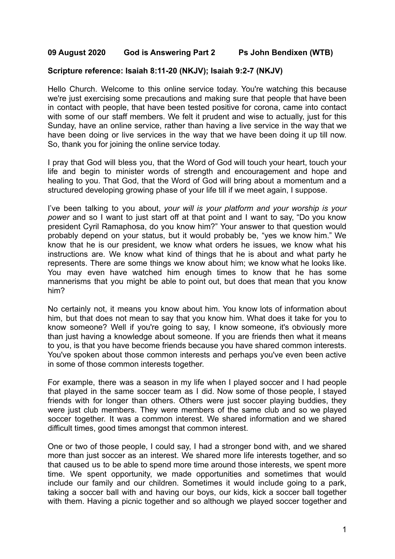## **09 August 2020 God is Answering Part 2 Ps John Bendixen (WTB)**

## **Scripture reference: Isaiah 8:11-20 (NKJV); Isaiah 9:2-7 (NKJV)**

Hello Church. Welcome to this online service today. You're watching this because we're just exercising some precautions and making sure that people that have been in contact with people, that have been tested positive for corona, came into contact with some of our staff members. We felt it prudent and wise to actually, just for this Sunday, have an online service, rather than having a live service in the way that we have been doing or live services in the way that we have been doing it up till now. So, thank you for joining the online service today.

I pray that God will bless you, that the Word of God will touch your heart, touch your life and begin to minister words of strength and encouragement and hope and healing to you. That God, that the Word of God will bring about a momentum and a structured developing growing phase of your life till if we meet again, I suppose.

I've been talking to you about, *your will is your platform and your worship is your power* and so I want to just start off at that point and I want to say, "Do you know president Cyril Ramaphosa, do you know him?" Your answer to that question would probably depend on your status, but it would probably be, "yes we know him." We know that he is our president, we know what orders he issues, we know what his instructions are. We know what kind of things that he is about and what party he represents. There are some things we know about him; we know what he looks like. You may even have watched him enough times to know that he has some mannerisms that you might be able to point out, but does that mean that you know him?

No certainly not, it means you know about him. You know lots of information about him, but that does not mean to say that you know him. What does it take for you to know someone? Well if you're going to say, I know someone, it's obviously more than just having a knowledge about someone. If you are friends then what it means to you, is that you have become friends because you have shared common interests. You've spoken about those common interests and perhaps you've even been active in some of those common interests together.

For example, there was a season in my life when I played soccer and I had people that played in the same soccer team as I did. Now some of those people, I stayed friends with for longer than others. Others were just soccer playing buddies, they were just club members. They were members of the same club and so we played soccer together. It was a common interest. We shared information and we shared difficult times, good times amongst that common interest.

One or two of those people, I could say, I had a stronger bond with, and we shared more than just soccer as an interest. We shared more life interests together, and so that caused us to be able to spend more time around those interests, we spent more time. We spent opportunity, we made opportunities and sometimes that would include our family and our children. Sometimes it would include going to a park, taking a soccer ball with and having our boys, our kids, kick a soccer ball together with them. Having a picnic together and so although we played soccer together and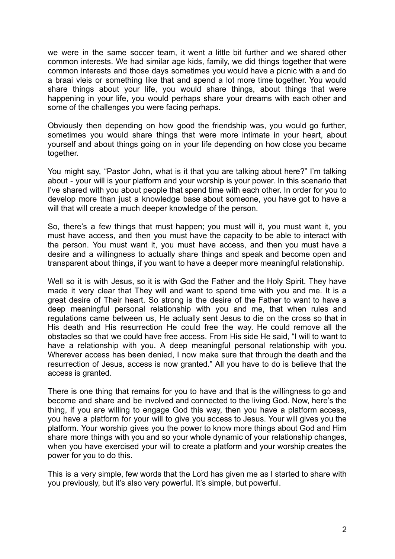we were in the same soccer team, it went a little bit further and we shared other common interests. We had similar age kids, family, we did things together that were common interests and those days sometimes you would have a picnic with a and do a braai vleis or something like that and spend a lot more time together. You would share things about your life, you would share things, about things that were happening in your life, you would perhaps share your dreams with each other and some of the challenges you were facing perhaps.

Obviously then depending on how good the friendship was, you would go further, sometimes you would share things that were more intimate in your heart, about yourself and about things going on in your life depending on how close you became together.

You might say, "Pastor John, what is it that you are talking about here?" I'm talking about - your will is your platform and your worship is your power. In this scenario that I've shared with you about people that spend time with each other. In order for you to develop more than just a knowledge base about someone, you have got to have a will that will create a much deeper knowledge of the person.

So, there's a few things that must happen; you must will it, you must want it, you must have access, and then you must have the capacity to be able to interact with the person. You must want it, you must have access, and then you must have a desire and a willingness to actually share things and speak and become open and transparent about things, if you want to have a deeper more meaningful relationship.

Well so it is with Jesus, so it is with God the Father and the Holy Spirit. They have made it very clear that They will and want to spend time with you and me. It is a great desire of Their heart. So strong is the desire of the Father to want to have a deep meaningful personal relationship with you and me, that when rules and regulations came between us, He actually sent Jesus to die on the cross so that in His death and His resurrection He could free the way. He could remove all the obstacles so that we could have free access. From His side He said, "I will to want to have a relationship with you. A deep meaningful personal relationship with you. Wherever access has been denied, I now make sure that through the death and the resurrection of Jesus, access is now granted." All you have to do is believe that the access is granted.

There is one thing that remains for you to have and that is the willingness to go and become and share and be involved and connected to the living God. Now, here's the thing, if you are willing to engage God this way, then you have a platform access, you have a platform for your will to give you access to Jesus. Your will gives you the platform. Your worship gives you the power to know more things about God and Him share more things with you and so your whole dynamic of your relationship changes, when you have exercised your will to create a platform and your worship creates the power for you to do this.

This is a very simple, few words that the Lord has given me as I started to share with you previously, but it's also very powerful. It's simple, but powerful.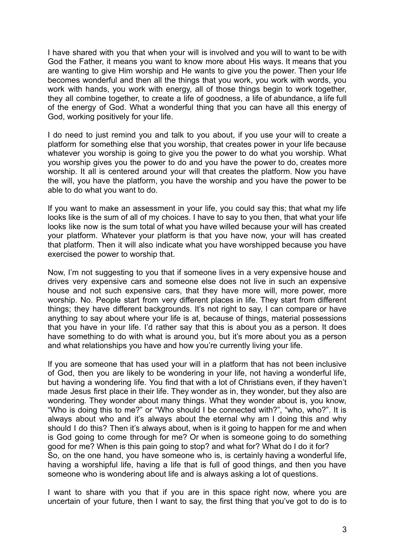I have shared with you that when your will is involved and you will to want to be with God the Father, it means you want to know more about His ways. It means that you are wanting to give Him worship and He wants to give you the power. Then your life becomes wonderful and then all the things that you work, you work with words, you work with hands, you work with energy, all of those things begin to work together, they all combine together, to create a life of goodness, a life of abundance, a life full of the energy of God. What a wonderful thing that you can have all this energy of God, working positively for your life.

I do need to just remind you and talk to you about, if you use your will to create a platform for something else that you worship, that creates power in your life because whatever you worship is going to give you the power to do what you worship. What you worship gives you the power to do and you have the power to do, creates more worship. It all is centered around your will that creates the platform. Now you have the will, you have the platform, you have the worship and you have the power to be able to do what you want to do.

If you want to make an assessment in your life, you could say this; that what my life looks like is the sum of all of my choices. I have to say to you then, that what your life looks like now is the sum total of what you have willed because your will has created your platform. Whatever your platform is that you have now, your will has created that platform. Then it will also indicate what you have worshipped because you have exercised the power to worship that.

Now, I'm not suggesting to you that if someone lives in a very expensive house and drives very expensive cars and someone else does not live in such an expensive house and not such expensive cars, that they have more will, more power, more worship. No. People start from very different places in life. They start from different things; they have different backgrounds. It's not right to say, I can compare or have anything to say about where your life is at, because of things, material possessions that you have in your life. I'd rather say that this is about you as a person. It does have something to do with what is around you, but it's more about you as a person and what relationships you have and how you're currently living your life.

If you are someone that has used your will in a platform that has not been inclusive of God, then you are likely to be wondering in your life, not having a wonderful life, but having a wondering life. You find that with a lot of Christians even, if they haven't made Jesus first place in their life. They wonder as in, they wonder, but they also are wondering. They wonder about many things. What they wonder about is, you know, "Who is doing this to me?" or "Who should I be connected with?", "who, who?". It is always about who and it's always about the eternal why am I doing this and why should I do this? Then it's always about, when is it going to happen for me and when is God going to come through for me? Or when is someone going to do something good for me? When is this pain going to stop? and what for? What do I do it for? So, on the one hand, you have someone who is, is certainly having a wonderful life, having a worshipful life, having a life that is full of good things, and then you have someone who is wondering about life and is always asking a lot of questions.

I want to share with you that if you are in this space right now, where you are uncertain of your future, then I want to say, the first thing that you've got to do is to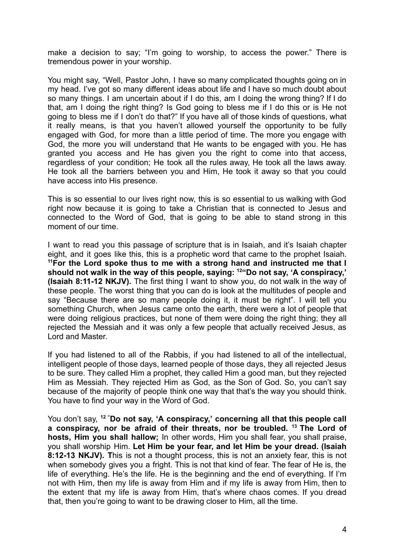make a decision to say; "I'm going to worship, to access the power." There is tremendous power in your worship.

You might say, "Well, Pastor John, I have so many complicated thoughts going on in my head. I've got so many different ideas about life and I have so much doubt about so many things. I am uncertain about if I do this, am I doing the wrong thing? If I do that, am I doing the right thing? Is God going to bless me if I do this or is He not going to bless me if I don't do that?" If you have all of those kinds of questions, what it really means, is that you haven't allowed yourself the opportunity to be fully engaged with God, for more than a little period of time. The more you engage with God, the more you will understand that He wants to be engaged with you. He has granted you access and He has given you the right to come into that access, regardless of your condition; He took all the rules away, He took all the laws away. He took all the barriers between you and Him, He took it away so that you could have access into His presence.

This is so essential to our lives right now, this is so essential to us walking with God right now because it is going to take a Christian that is connected to Jesus and connected to the Word of God, that is going to be able to stand strong in this moment of our time.

I want to read you this passage of scripture that is in Isaiah, and it's Isaiah chapter eight, and it goes like this, this is a prophetic word that came to the prophet Isaiah. **<sup>11</sup>For the Lord spoke thus to me with a strong hand and instructed me that I should not walk in the way of this people, saying: <sup>12</sup>"Do not say, 'A conspiracy,' (Isaiah 8:11-12 NKJV).** The first thing I want to show you, do not walk in the way of these people. The worst thing that you can do is look at the multitudes of people and say "Because there are so many people doing it, it must be right". I will tell you something Church, when Jesus came onto the earth, there were a lot of people that were doing religious practices, but none of them were doing the right thing; they all rejected the Messiah and it was only a few people that actually received Jesus, as Lord and Master.

If you had listened to all of the Rabbis, if you had listened to all of the intellectual, intelligent people of those days, learned people of those days, they all rejected Jesus to be sure. They called Him a prophet, they called Him a good man, but they rejected Him as Messiah. They rejected Him as God, as the Son of God. So, you can't say because of the majority of people think one way that that's the way you should think. You have to find your way in the Word of God.

You don't say, **<sup>12</sup> "Do not say, 'A conspiracy,' concerning all that this people call a conspiracy, nor be afraid of their threats, nor be troubled. <sup>13</sup> The Lord of hosts, Him you shall hallow;** In other words, Him you shall fear, you shall praise, you shall worship Him. **Let Him be your fear, and let Him be your dread. (Isaiah 8:12-13 NKJV). T**his is not a thought process, this is not an anxiety fear, this is not when somebody gives you a fright. This is not that kind of fear. The fear of He is, the life of everything. He's the life. He is the beginning and the end of everything. If I'm not with Him, then my life is away from Him and if my life is away from Him, then to the extent that my life is away from Him, that's where chaos comes. If you dread that, then you're going to want to be drawing closer to Him, all the time.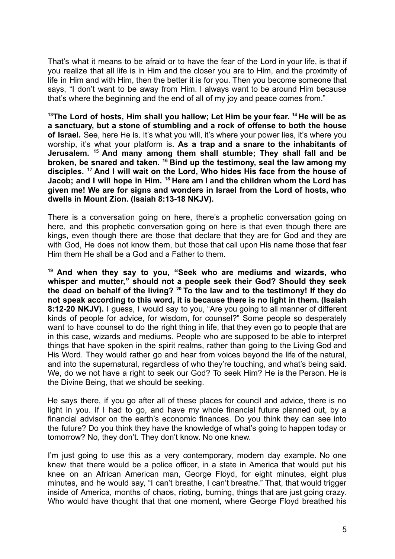That's what it means to be afraid or to have the fear of the Lord in your life, is that if you realize that all life is in Him and the closer you are to Him, and the proximity of life in Him and with Him, then the better it is for you. Then you become someone that says, "I don't want to be away from Him. I always want to be around Him because that's where the beginning and the end of all of my joy and peace comes from."

**<sup>13</sup>The Lord of hosts, Him shall you hallow; Let Him be your fear. <sup>14</sup> He will be as a sanctuary, but a stone of stumbling and a rock of offense to both the house of Israel.** See, here He is. It's what you will, it's where your power lies, it's where you worship, it's what your platform is. **As a trap and a snare to the inhabitants of Jerusalem. <sup>15</sup> And many among them shall stumble; They shall fall and be broken, be snared and taken. <sup>16</sup> Bind up the testimony, seal the law among my disciples. <sup>17</sup> And I will wait on the Lord, Who hides His face from the house of Jacob; and I will hope in Him. <sup>18</sup> Here am I and the children whom the Lord has given me! We are for signs and wonders in Israel from the Lord of hosts, who dwells in Mount Zion. (Isaiah 8:13-18 NKJV).**

There is a conversation going on here, there's a prophetic conversation going on here, and this prophetic conversation going on here is that even though there are kings, even though there are those that declare that they are for God and they are with God, He does not know them, but those that call upon His name those that fear Him them He shall be a God and a Father to them.

**<sup>19</sup> And when they say to you, "Seek who are mediums and wizards, who whisper and mutter," should not a people seek their God? Should they seek the dead on behalf of the living? <sup>20</sup> To the law and to the testimony! If they do not speak according to this word, it is because there is no light in them. (Isaiah 8:12-20 NKJV).** I guess, I would say to you, "Are you going to all manner of different kinds of people for advice, for wisdom, for counsel?" Some people so desperately want to have counsel to do the right thing in life, that they even go to people that are in this case, wizards and mediums. People who are supposed to be able to interpret things that have spoken in the spirit realms, rather than going to the Living God and His Word. They would rather go and hear from voices beyond the life of the natural, and into the supernatural, regardless of who they're touching, and what's being said. We, do we not have a right to seek our God? To seek Him? He is the Person. He is the Divine Being, that we should be seeking.

He says there, if you go after all of these places for council and advice, there is no light in you. If I had to go, and have my whole financial future planned out, by a financial advisor on the earth's economic finances. Do you think they can see into the future? Do you think they have the knowledge of what's going to happen today or tomorrow? No, they don't. They don't know. No one knew.

I'm just going to use this as a very contemporary, modern day example. No one knew that there would be a police officer, in a state in America that would put his knee on an African American man, George Floyd, for eight minutes, eight plus minutes, and he would say, "I can't breathe, I can't breathe." That, that would trigger inside of America, months of chaos, rioting, burning, things that are just going crazy. Who would have thought that that one moment, where George Floyd breathed his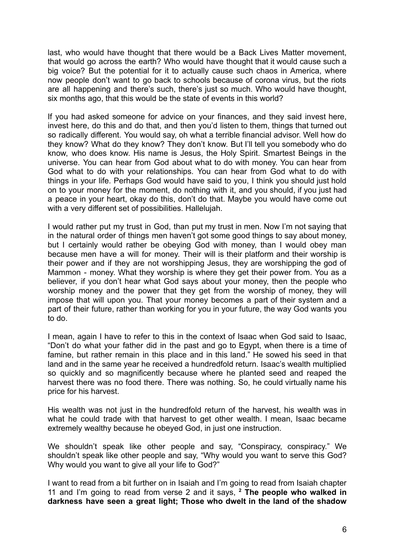last, who would have thought that there would be a Back Lives Matter movement, that would go across the earth? Who would have thought that it would cause such a big voice? But the potential for it to actually cause such chaos in America, where now people don't want to go back to schools because of corona virus, but the riots are all happening and there's such, there's just so much. Who would have thought, six months ago, that this would be the state of events in this world?

If you had asked someone for advice on your finances, and they said invest here, invest here, do this and do that, and then you'd listen to them, things that turned out so radically different. You would say, oh what a terrible financial advisor. Well how do they know? What do they know? They don't know. But I'll tell you somebody who do know, who does know. His name is Jesus, the Holy Spirit. Smartest Beings in the universe. You can hear from God about what to do with money. You can hear from God what to do with your relationships. You can hear from God what to do with things in your life. Perhaps God would have said to you, I think you should just hold on to your money for the moment, do nothing with it, and you should, if you just had a peace in your heart, okay do this, don't do that. Maybe you would have come out with a very different set of possibilities. Hallelujah.

I would rather put my trust in God, than put my trust in men. Now I'm not saying that in the natural order of things men haven't got some good things to say about money, but I certainly would rather be obeying God with money, than I would obey man because men have a will for money. Their will is their platform and their worship is their power and if they are not worshipping Jesus, they are worshipping the god of Mammon - money. What they worship is where they get their power from. You as a believer, if you don't hear what God says about your money, then the people who worship money and the power that they get from the worship of money, they will impose that will upon you. That your money becomes a part of their system and a part of their future, rather than working for you in your future, the way God wants you to do.

I mean, again I have to refer to this in the context of Isaac when God said to Isaac, "Don't do what your father did in the past and go to Egypt, when there is a time of famine, but rather remain in this place and in this land." He sowed his seed in that land and in the same year he received a hundredfold return. Isaac's wealth multiplied so quickly and so magnificently because where he planted seed and reaped the harvest there was no food there. There was nothing. So, he could virtually name his price for his harvest.

His wealth was not just in the hundredfold return of the harvest, his wealth was in what he could trade with that harvest to get other wealth. I mean, Isaac became extremely wealthy because he obeyed God, in just one instruction.

We shouldn't speak like other people and say, "Conspiracy, conspiracy." We shouldn't speak like other people and say, "Why would you want to serve this God? Why would you want to give all your life to God?"

I want to read from a bit further on in Isaiah and I'm going to read from Isaiah chapter 11 and I'm going to read from verse 2 and it says, **<sup>2</sup> The people who walked in darkness have seen a great light; Those who dwelt in the land of the shadow**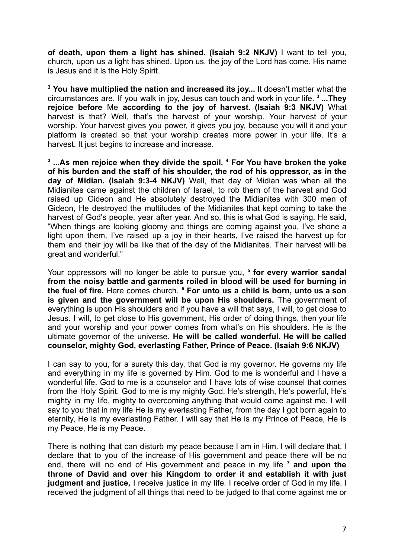**of death, upon them a light has shined. (Isaiah 9:2 NKJV)** I want to tell you, church, upon us a light has shined. Upon us, the joy of the Lord has come. His name is Jesus and it is the Holy Spirit.

**<sup>3</sup> You have multiplied the nation and increased its joy...** It doesn't matter what the circumstances are. If you walk in joy, Jesus can touch and work in your life. **<sup>3</sup> ...They rejoice before** Me **according to the joy of harvest. (Isaiah 9:3 NKJV)** What harvest is that? Well, that's the harvest of your worship. Your harvest of your worship. Your harvest gives you power, it gives you joy, because you will it and your platform is created so that your worship creates more power in your life. It's a harvest. It just begins to increase and increase.

**3 ...As men rejoice when they divide the spoil. <sup>4</sup> For You have broken the yoke of his burden and the staff of his shoulder, the rod of his oppressor, as in the day of Midian. (Isaiah 9:3-4 NKJV)** Well, that day of Midian was when all the Midianites came against the children of Israel, to rob them of the harvest and God raised up Gideon and He absolutely destroyed the Midianites with 300 men of Gideon, He destroyed the multitudes of the Midianites that kept coming to take the harvest of God's people, year after year. And so, this is what God is saying. He said, "When things are looking gloomy and things are coming against you, I've shone a light upon them, I've raised up a joy in their hearts, I've raised the harvest up for them and their joy will be like that of the day of the Midianites. Their harvest will be great and wonderful."

Your oppressors will no longer be able to pursue you, **<sup>5</sup> for every warrior sandal from the noisy battle and garments roiled in blood will be used for burning in the fuel of fire.** Here comes church. *<sup>6</sup>* **For unto us a child is born, unto us a son is given and the government will be upon His shoulders.** The government of everything is upon His shoulders and if you have a will that says, I will, to get close to Jesus. I will, to get close to His government, His order of doing things, then your life and your worship and your power comes from what's on His shoulders. He is the ultimate governor of the universe. **He will be called wonderful. He will be called counselor, mighty God, everlasting Father, Prince of Peace. (Isaiah 9:6 NKJV)**

I can say to you, for a surety this day, that God is my governor. He governs my life and everything in my life is governed by Him. God to me is wonderful and I have a wonderful life. God to me is a counselor and I have lots of wise counsel that comes from the Holy Spirit. God to me is my mighty God. He's strength, He's powerful, He's mighty in my life, mighty to overcoming anything that would come against me. I will say to you that in my life He is my everlasting Father, from the day I got born again to eternity, He is my everlasting Father. I will say that He is my Prince of Peace, He is my Peace, He is my Peace.

There is nothing that can disturb my peace because I am in Him. I will declare that. I declare that to you of the increase of His government and peace there will be no end, there will no end of His government and peace in my life **<sup>7</sup> and upon the throne of David and over his Kingdom to order it and establish it with just judgment and justice,** I receive justice in my life. I receive order of God in my life. I received the judgment of all things that need to be judged to that come against me or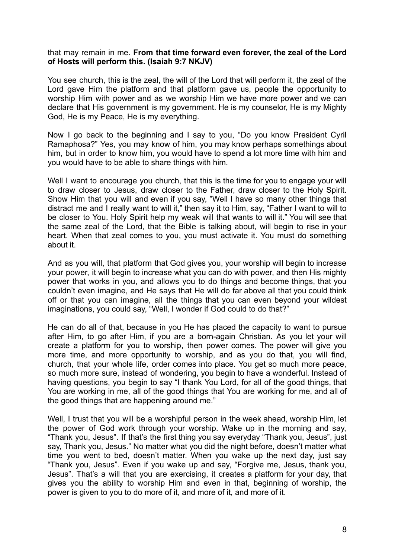## that may remain in me. **From that time forward even forever, the zeal of the Lord of Hosts will perform this. (Isaiah 9:7 NKJV)**

You see church, this is the zeal, the will of the Lord that will perform it, the zeal of the Lord gave Him the platform and that platform gave us, people the opportunity to worship Him with power and as we worship Him we have more power and we can declare that His government is my government. He is my counselor, He is my Mighty God, He is my Peace, He is my everything.

Now I go back to the beginning and I say to you, "Do you know President Cyril Ramaphosa?" Yes, you may know of him, you may know perhaps somethings about him, but in order to know him, you would have to spend a lot more time with him and you would have to be able to share things with him.

Well I want to encourage you church, that this is the time for you to engage your will to draw closer to Jesus, draw closer to the Father, draw closer to the Holy Spirit. Show Him that you will and even if you say, "Well I have so many other things that distract me and I really want to will it," then say it to Him, say, "Father I want to will to be closer to You. Holy Spirit help my weak will that wants to will it." You will see that the same zeal of the Lord, that the Bible is talking about, will begin to rise in your heart. When that zeal comes to you, you must activate it. You must do something about it.

And as you will, that platform that God gives you, your worship will begin to increase your power, it will begin to increase what you can do with power, and then His mighty power that works in you, and allows you to do things and become things, that you couldn't even imagine, and He says that He will do far above all that you could think off or that you can imagine, all the things that you can even beyond your wildest imaginations, you could say, "Well, I wonder if God could to do that?"

He can do all of that, because in you He has placed the capacity to want to pursue after Him, to go after Him, if you are a born-again Christian. As you let your will create a platform for you to worship, then power comes. The power will give you more time, and more opportunity to worship, and as you do that, you will find, church, that your whole life, order comes into place. You get so much more peace, so much more sure, instead of wondering, you begin to have a wonderful. Instead of having questions, you begin to say "I thank You Lord, for all of the good things, that You are working in me, all of the good things that You are working for me, and all of the good things that are happening around me."

Well, I trust that you will be a worshipful person in the week ahead, worship Him, let the power of God work through your worship. Wake up in the morning and say, "Thank you, Jesus". If that's the first thing you say everyday "Thank you, Jesus", just say, Thank you, Jesus." No matter what you did the night before, doesn't matter what time you went to bed, doesn't matter. When you wake up the next day, just say "Thank you, Jesus". Even if you wake up and say, "Forgive me, Jesus, thank you, Jesus". That's a will that you are exercising, it creates a platform for your day, that gives you the ability to worship Him and even in that, beginning of worship, the power is given to you to do more of it, and more of it, and more of it.